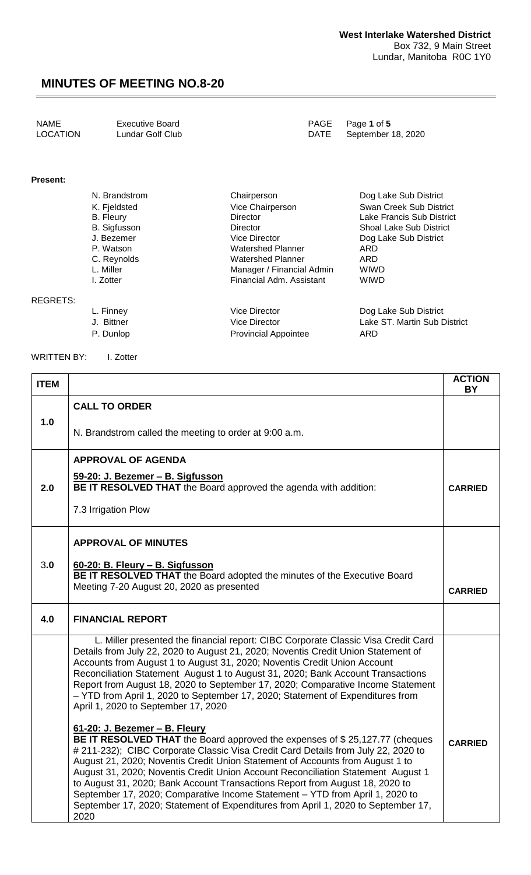| <b>NAME</b><br>Executive Board<br>LOCATION<br>Lundar Golf Club |  | PAGE Page 1 of 5<br>DATE September 18, 2020 |
|----------------------------------------------------------------|--|---------------------------------------------|
|----------------------------------------------------------------|--|---------------------------------------------|

#### **Present:**

| N. Brandstrom       | Chairperson               | Dog Lake Sub District          |
|---------------------|---------------------------|--------------------------------|
| K. Fjeldsted        | Vice Chairperson          | Swan Creek Sub District        |
| <b>B.</b> Fleury    | <b>Director</b>           | Lake Francis Sub District      |
| <b>B.</b> Sigfusson | Director                  | <b>Shoal Lake Sub District</b> |
| J. Bezemer          | Vice Director             | Dog Lake Sub District          |
| P. Watson           | <b>Watershed Planner</b>  | ARD                            |
| C. Reynolds         | Watershed Planner         | ARD                            |
| L. Miller           | Manager / Financial Admin | <b>WIWD</b>                    |
| I. Zotter           | Financial Adm. Assistant  | <b>WIWD</b>                    |
|                     |                           |                                |

REGRETS:

L. Finney Vice Director Dog Lake Sub District P. Dunlop **Provincial Appointee** ARD

Vice Director **Lake ST. Martin Sub District** 

WRITTEN BY: I. Zotter

| <b>ITEM</b> |                                                                                                                                                                                                                                                                                                                                                                                                                                                                                                                                                                                                                                     | <b>ACTION</b><br>BY |
|-------------|-------------------------------------------------------------------------------------------------------------------------------------------------------------------------------------------------------------------------------------------------------------------------------------------------------------------------------------------------------------------------------------------------------------------------------------------------------------------------------------------------------------------------------------------------------------------------------------------------------------------------------------|---------------------|
|             | <b>CALL TO ORDER</b>                                                                                                                                                                                                                                                                                                                                                                                                                                                                                                                                                                                                                |                     |
| 1.0         | N. Brandstrom called the meeting to order at 9:00 a.m.                                                                                                                                                                                                                                                                                                                                                                                                                                                                                                                                                                              |                     |
|             | <b>APPROVAL OF AGENDA</b>                                                                                                                                                                                                                                                                                                                                                                                                                                                                                                                                                                                                           |                     |
| 2.0         | 59-20: J. Bezemer - B. Sigfusson<br>BE IT RESOLVED THAT the Board approved the agenda with addition:                                                                                                                                                                                                                                                                                                                                                                                                                                                                                                                                | <b>CARRIED</b>      |
|             | 7.3 Irrigation Plow                                                                                                                                                                                                                                                                                                                                                                                                                                                                                                                                                                                                                 |                     |
|             | <b>APPROVAL OF MINUTES</b>                                                                                                                                                                                                                                                                                                                                                                                                                                                                                                                                                                                                          |                     |
| 3.0         | 60-20: B. Fleury - B. Sigfusson<br>BE IT RESOLVED THAT the Board adopted the minutes of the Executive Board                                                                                                                                                                                                                                                                                                                                                                                                                                                                                                                         |                     |
|             | Meeting 7-20 August 20, 2020 as presented                                                                                                                                                                                                                                                                                                                                                                                                                                                                                                                                                                                           | <b>CARRIED</b>      |
| 4.0         | <b>FINANCIAL REPORT</b>                                                                                                                                                                                                                                                                                                                                                                                                                                                                                                                                                                                                             |                     |
|             | L. Miller presented the financial report: CIBC Corporate Classic Visa Credit Card<br>Details from July 22, 2020 to August 21, 2020; Noventis Credit Union Statement of<br>Accounts from August 1 to August 31, 2020; Noventis Credit Union Account<br>Reconciliation Statement August 1 to August 31, 2020; Bank Account Transactions<br>Report from August 18, 2020 to September 17, 2020; Comparative Income Statement<br>- YTD from April 1, 2020 to September 17, 2020; Statement of Expenditures from<br>April 1, 2020 to September 17, 2020                                                                                   |                     |
|             | 61-20: J. Bezemer - B. Fleury<br>BE IT RESOLVED THAT the Board approved the expenses of \$25,127.77 (cheques<br># 211-232); CIBC Corporate Classic Visa Credit Card Details from July 22, 2020 to<br>August 21, 2020; Noventis Credit Union Statement of Accounts from August 1 to<br>August 31, 2020; Noventis Credit Union Account Reconciliation Statement August 1<br>to August 31, 2020; Bank Account Transactions Report from August 18, 2020 to<br>September 17, 2020; Comparative Income Statement - YTD from April 1, 2020 to<br>September 17, 2020; Statement of Expenditures from April 1, 2020 to September 17,<br>2020 | <b>CARRIED</b>      |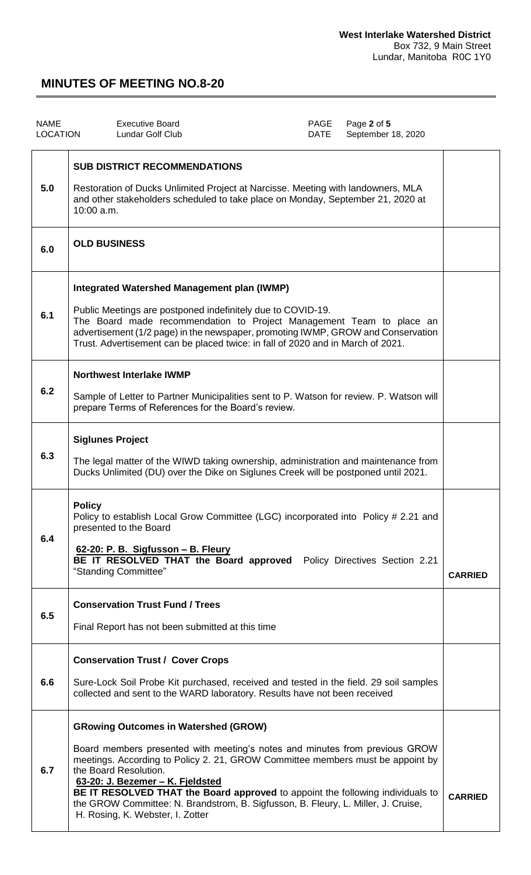| <b>NAME</b><br><b>LOCATION</b> | <b>Executive Board</b><br>Lundar Golf Club                                                                                                                                                                                                                                                                                                                                                                                                                                           | PAGE<br><b>DATE</b> | Page 2 of 5<br>September 18, 2020 |                |  |
|--------------------------------|--------------------------------------------------------------------------------------------------------------------------------------------------------------------------------------------------------------------------------------------------------------------------------------------------------------------------------------------------------------------------------------------------------------------------------------------------------------------------------------|---------------------|-----------------------------------|----------------|--|
| 5.0                            | <b>SUB DISTRICT RECOMMENDATIONS</b><br>Restoration of Ducks Unlimited Project at Narcisse. Meeting with landowners, MLA<br>and other stakeholders scheduled to take place on Monday, September 21, 2020 at<br>10:00 a.m.                                                                                                                                                                                                                                                             |                     |                                   |                |  |
| 6.0                            | <b>OLD BUSINESS</b>                                                                                                                                                                                                                                                                                                                                                                                                                                                                  |                     |                                   |                |  |
| 6.1                            | Integrated Watershed Management plan (IWMP)<br>Public Meetings are postponed indefinitely due to COVID-19.<br>The Board made recommendation to Project Management Team to place an<br>advertisement (1/2 page) in the newspaper, promoting IWMP, GROW and Conservation<br>Trust. Advertisement can be placed twice: in fall of 2020 and in March of 2021.                                                                                                                            |                     |                                   |                |  |
| 6.2                            | <b>Northwest Interlake IWMP</b><br>Sample of Letter to Partner Municipalities sent to P. Watson for review. P. Watson will<br>prepare Terms of References for the Board's review.                                                                                                                                                                                                                                                                                                    |                     |                                   |                |  |
| 6.3                            | <b>Siglunes Project</b><br>The legal matter of the WIWD taking ownership, administration and maintenance from<br>Ducks Unlimited (DU) over the Dike on Siglunes Creek will be postponed until 2021.                                                                                                                                                                                                                                                                                  |                     |                                   |                |  |
| 6.4                            | <b>Policy</b><br>Policy to establish Local Grow Committee (LGC) incorporated into Policy # 2.21 and<br>presented to the Board<br>62-20: P. B. Sigfusson - B. Fleury<br>BE IT RESOLVED THAT the Board approved Policy Directives Section 2.21<br>"Standing Committee"                                                                                                                                                                                                                 |                     |                                   | <b>CARRIED</b> |  |
| 6.5                            | <b>Conservation Trust Fund / Trees</b><br>Final Report has not been submitted at this time                                                                                                                                                                                                                                                                                                                                                                                           |                     |                                   |                |  |
| 6.6                            | <b>Conservation Trust / Cover Crops</b><br>Sure-Lock Soil Probe Kit purchased, received and tested in the field. 29 soil samples<br>collected and sent to the WARD laboratory. Results have not been received                                                                                                                                                                                                                                                                        |                     |                                   |                |  |
| 6.7                            | <b>GRowing Outcomes in Watershed (GROW)</b><br>Board members presented with meeting's notes and minutes from previous GROW<br>meetings. According to Policy 2. 21, GROW Committee members must be appoint by<br>the Board Resolution.<br>63-20: J. Bezemer - K. Fjeldsted<br>BE IT RESOLVED THAT the Board approved to appoint the following individuals to<br>the GROW Committee: N. Brandstrom, B. Sigfusson, B. Fleury, L. Miller, J. Cruise,<br>H. Rosing, K. Webster, I. Zotter |                     |                                   | <b>CARRIED</b> |  |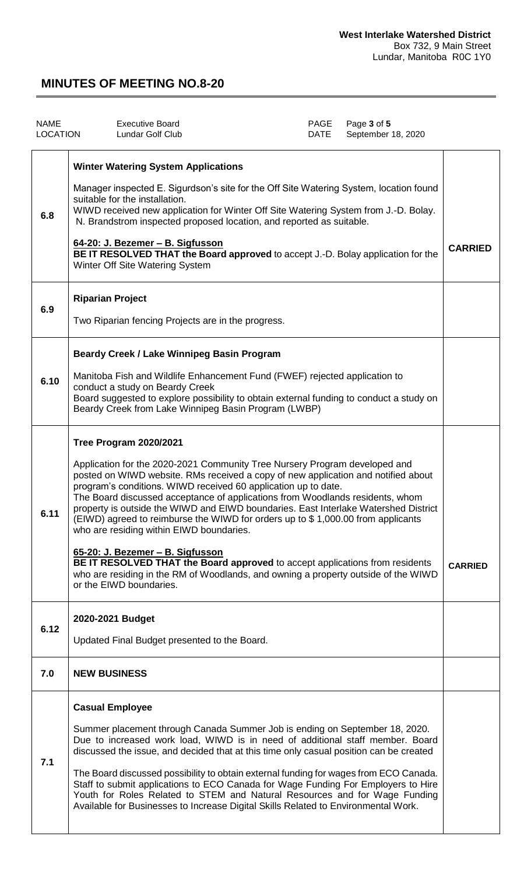| <b>NAME</b><br><b>LOCATION</b> | <b>Executive Board</b><br><b>Lundar Golf Club</b>                                                                                                                                                                                                                                                                                                                                                                                                                                                                                                                                                                                                                                                                                                                                                       | PAGE<br>DATE | Page 3 of 5<br>September 18, 2020 |                |
|--------------------------------|---------------------------------------------------------------------------------------------------------------------------------------------------------------------------------------------------------------------------------------------------------------------------------------------------------------------------------------------------------------------------------------------------------------------------------------------------------------------------------------------------------------------------------------------------------------------------------------------------------------------------------------------------------------------------------------------------------------------------------------------------------------------------------------------------------|--------------|-----------------------------------|----------------|
| 6.8                            | <b>Winter Watering System Applications</b><br>Manager inspected E. Sigurdson's site for the Off Site Watering System, location found<br>suitable for the installation.<br>WIWD received new application for Winter Off Site Watering System from J.-D. Bolay.<br>N. Brandstrom inspected proposed location, and reported as suitable.<br>64-20: J. Bezemer - B. Sigfusson<br>BE IT RESOLVED THAT the Board approved to accept J.-D. Bolay application for the<br>Winter Off Site Watering System                                                                                                                                                                                                                                                                                                        |              |                                   | <b>CARRIED</b> |
| 6.9                            | <b>Riparian Project</b><br>Two Riparian fencing Projects are in the progress.                                                                                                                                                                                                                                                                                                                                                                                                                                                                                                                                                                                                                                                                                                                           |              |                                   |                |
| 6.10                           | Beardy Creek / Lake Winnipeg Basin Program<br>Manitoba Fish and Wildlife Enhancement Fund (FWEF) rejected application to<br>conduct a study on Beardy Creek<br>Board suggested to explore possibility to obtain external funding to conduct a study on<br>Beardy Creek from Lake Winnipeg Basin Program (LWBP)                                                                                                                                                                                                                                                                                                                                                                                                                                                                                          |              |                                   |                |
| 6.11                           | Tree Program 2020/2021<br>Application for the 2020-2021 Community Tree Nursery Program developed and<br>posted on WIWD website. RMs received a copy of new application and notified about<br>program's conditions. WIWD received 60 application up to date.<br>The Board discussed acceptance of applications from Woodlands residents, whom<br>property is outside the WIWD and EIWD boundaries. East Interlake Watershed District<br>(EIWD) agreed to reimburse the WIWD for orders up to \$1,000.00 from applicants<br>who are residing within EIWD boundaries.<br>65-20: J. Bezemer - B. Sigfusson<br>BE IT RESOLVED THAT the Board approved to accept applications from residents<br>who are residing in the RM of Woodlands, and owning a property outside of the WIWD<br>or the EIWD boundaries. |              |                                   | <b>CARRIED</b> |
| 6.12                           | 2020-2021 Budget<br>Updated Final Budget presented to the Board.                                                                                                                                                                                                                                                                                                                                                                                                                                                                                                                                                                                                                                                                                                                                        |              |                                   |                |
| 7.0                            | <b>NEW BUSINESS</b>                                                                                                                                                                                                                                                                                                                                                                                                                                                                                                                                                                                                                                                                                                                                                                                     |              |                                   |                |
| 7.1                            | <b>Casual Employee</b><br>Summer placement through Canada Summer Job is ending on September 18, 2020.<br>Due to increased work load, WIWD is in need of additional staff member. Board<br>discussed the issue, and decided that at this time only casual position can be created<br>The Board discussed possibility to obtain external funding for wages from ECO Canada.<br>Staff to submit applications to ECO Canada for Wage Funding For Employers to Hire<br>Youth for Roles Related to STEM and Natural Resources and for Wage Funding<br>Available for Businesses to Increase Digital Skills Related to Environmental Work.                                                                                                                                                                      |              |                                   |                |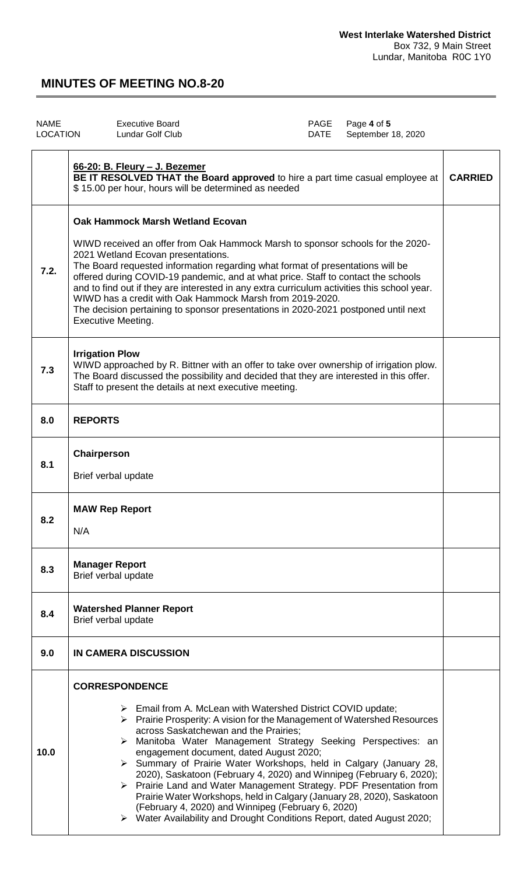| <b>NAME</b><br><b>LOCATION</b> | PAGE<br>Page 4 of 5<br><b>Executive Board</b><br>Lundar Golf Club<br>DATE                                                                                                                                                                                                                                                                                                                                                                                                                                                                                                                                                               | September 18, 2020 |
|--------------------------------|-----------------------------------------------------------------------------------------------------------------------------------------------------------------------------------------------------------------------------------------------------------------------------------------------------------------------------------------------------------------------------------------------------------------------------------------------------------------------------------------------------------------------------------------------------------------------------------------------------------------------------------------|--------------------|
|                                | 66-20: B. Fleury - J. Bezemer<br>BE IT RESOLVED THAT the Board approved to hire a part time casual employee at<br>\$15.00 per hour, hours will be determined as needed                                                                                                                                                                                                                                                                                                                                                                                                                                                                  | <b>CARRIED</b>     |
| 7.2.                           | <b>Oak Hammock Marsh Wetland Ecovan</b><br>WIWD received an offer from Oak Hammock Marsh to sponsor schools for the 2020-<br>2021 Wetland Ecovan presentations.<br>The Board requested information regarding what format of presentations will be<br>offered during COVID-19 pandemic, and at what price. Staff to contact the schools<br>and to find out if they are interested in any extra curriculum activities this school year.<br>WIWD has a credit with Oak Hammock Marsh from 2019-2020.<br>The decision pertaining to sponsor presentations in 2020-2021 postponed until next<br><b>Executive Meeting.</b>                    |                    |
| 7.3                            | <b>Irrigation Plow</b><br>WIWD approached by R. Bittner with an offer to take over ownership of irrigation plow.<br>The Board discussed the possibility and decided that they are interested in this offer.<br>Staff to present the details at next executive meeting.                                                                                                                                                                                                                                                                                                                                                                  |                    |
| 8.0                            | <b>REPORTS</b>                                                                                                                                                                                                                                                                                                                                                                                                                                                                                                                                                                                                                          |                    |
| 8.1                            | Chairperson<br>Brief verbal update                                                                                                                                                                                                                                                                                                                                                                                                                                                                                                                                                                                                      |                    |
| 8.2                            | <b>MAW Rep Report</b><br>N/A                                                                                                                                                                                                                                                                                                                                                                                                                                                                                                                                                                                                            |                    |
| 8.3                            | <b>Manager Report</b><br>Brief verbal update                                                                                                                                                                                                                                                                                                                                                                                                                                                                                                                                                                                            |                    |
| 8.4                            | <b>Watershed Planner Report</b><br>Brief verbal update                                                                                                                                                                                                                                                                                                                                                                                                                                                                                                                                                                                  |                    |
| 9.0                            | IN CAMERA DISCUSSION                                                                                                                                                                                                                                                                                                                                                                                                                                                                                                                                                                                                                    |                    |
| 10.0                           | <b>CORRESPONDENCE</b><br>$\triangleright$ Email from A. McLean with Watershed District COVID update;<br>> Prairie Prosperity: A vision for the Management of Watershed Resources<br>across Saskatchewan and the Prairies;<br>Manitoba Water Management Strategy Seeking Perspectives: an<br>≻<br>engagement document, dated August 2020;<br>> Summary of Prairie Water Workshops, held in Calgary (January 28,<br>2020), Saskatoon (February 4, 2020) and Winnipeg (February 6, 2020);<br>> Prairie Land and Water Management Strategy. PDF Presentation from<br>Prairie Water Workshops, held in Calgary (January 28, 2020), Saskatoon |                    |

(February 4, 2020) and Winnipeg (February 6, 2020)

Water Availability and Drought Conditions Report, dated August 2020;